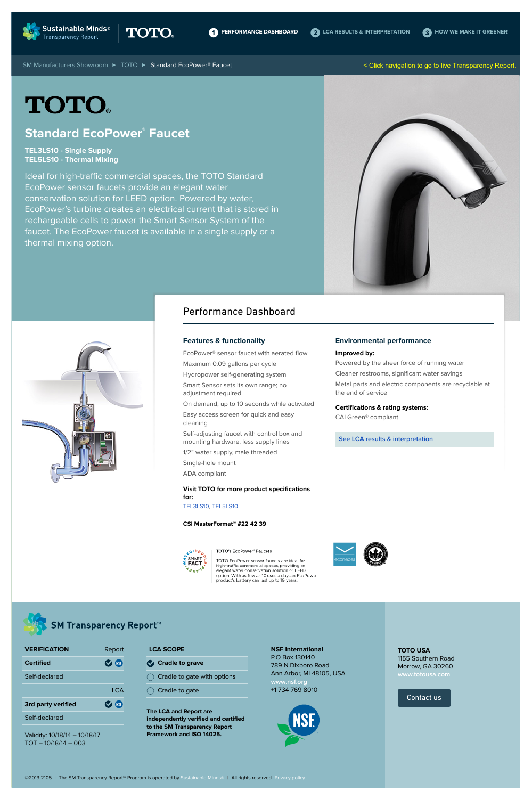

[SM Manufacturers Showroom](http://www.sustainableminds.com/transparency-products/manufacturers-showroom) ▶ [TOTO](http://www.sustainableminds.com/showroom/toto/) ▶ Standard EcoPower® Faucet

### **Standard EcoPower® Faucet**

**TEL3LS10 - Single Supply TEL5LS10 - Thermal Mixing**

Ideal for high-traffic commercial spaces, the TOTO Standard EcoPower sensor faucets provide an elegant water conservation solution for LEED option. Powered by water, EcoPower's turbine creates an electrical current that is stored in rechargeable cells to power the Smart Sensor System of the faucet. The EcoPower faucet is available in a single supply or a thermal mixing option.





#### **Features & functionality**

- EcoPower® sensor faucet with aerated flow Maximum 0.09 gallons per cycle Hydropower self-generating system
- Smart Sensor sets its own range; no
- adjustment required
- On demand, up to 10 seconds while activated Easy access screen for quick and easy
- cleaning
- Self-adjusting faucet with control box and mounting hardware, less supply lines
- 1/2" water supply, male threaded
- Single-hole mount
- ADA compliant

**Visit TOTO for more product specifications for:**

#### TEL3LS10, TEL5LS10

#### **CSI MasterFormat™ #22 42 39**



TOTO EcoPower sensor faucets are ideal for high-traffic commercial spaces, providing an option. With as few as 10 uses a day, an EcoPower product's battery can last up to 19 years.

#### **Environmental performance**

#### **Improved by:**

Powered by the sheer force of running water

Cleaner restrooms, significant water savings

Metal parts and electric components are recyclable at the end of service

#### **Certifications & rating systems:**

CALGreen® compliant

**See LCA results & interpretation**







e v e

**MART** 

### **SM Transparency Report™**

### Performance Dashboard

Validity: 10/18/14 – 10/18/17 TOT – 10/18/14 – 003

**The LCA and Report are independently verified and certified to the SM Transparency Report Framework and ISO 14025.**

**NSF International** P.O Box 130140 789 N.Dixboro Road Ann Arbor, MI 48105, USA **www.nsf.org** +1 734 769 8010

| <b>VERIFICATION</b>       | Report                 |
|---------------------------|------------------------|
| <b>Certified</b>          | <b>(NSE)</b><br>$\sim$ |
| Self-declared             |                        |
|                           | I CA                   |
| <b>3rd party verified</b> | (NSE)<br>(V            |
| Self-declared             |                        |

**LCA SCOPE**

**Cradle to grave**

 $\bigcirc$  Cradle to gate with options

 $\bigcirc$  Cradle to gate

©2013-2105 | The SM Transparency Report™ Program is operated by Sustainable Minds® | All rights reserved Privacy policy

**TOTO USA**

1155 Southern Road Morrow, GA 30260

Contact us

< Click navigation to go to live Transparency Report.

# **TOTO®**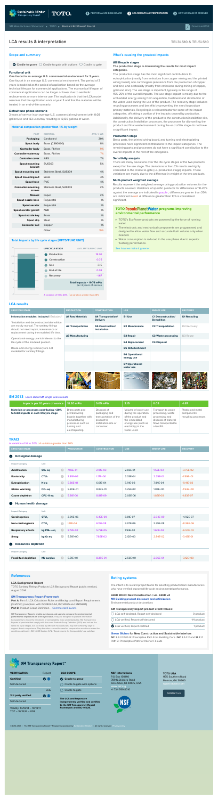### **TEL3LS10 & TEL5LS10**

| 25        | <b>LIFECYCLE STAGE</b> | <b>AVG. MPTS/FUNC UNIT</b>                              |
|-----------|------------------------|---------------------------------------------------------|
| 20        | <b>Production</b>      | 18.20                                                   |
|           | <b>Construction</b>    | 0.05                                                    |
| 15        | <b>Use</b>             | 3.15                                                    |
| 10        | <b>End of life</b>     | 0.03                                                    |
|           | <b>Recovery</b>        | $-1.67$                                                 |
| 5         |                        | Total impacts = 19.76 mPts<br>per 3 years of service    |
| $\bigcap$ |                        |                                                         |
| $-5$      |                        | A variation of 10 to 20%   A variation greater than 20% |

#### Scope and summary

 $\bullet$  Cradle to grave  $\circlearrowright$  Cradle to gate with options  $\circlearrowright$  Cradle to gate

#### **Functional unit**

#### **One faucet in an average U.S. commmercial environment for 3 years.**

One faucet in an average U.S. commercial environment. The period of 3 years is modeled as the period of application based on the average technical lifespan for commercial applications. The economical lifespan of commerical applications can be longer or lower due to aesthetic replacements or more intense use. The implication is that the LCA model assumes that the application ends at year 3 and that the materials will be treated in an end-of-life scenario.

#### **Default use phase scenario**

3 years of service in an average U.S. commercial environment with 0.08 gallon/use and 133 uses/day resulting in 12,136 gallons of water.

#### **Material composition greater than 1% by weight**

| <b>PART</b>                                 | <b>MATERIAL</b>         | <b>AVG. % WT.</b> |
|---------------------------------------------|-------------------------|-------------------|
| <b>Packaging</b>                            | Cardboard               | 20%               |
| Spout body                                  | Brass (C360000)         | 11%               |
| <b>Controller body</b>                      | Brass, Pb free          | 9%                |
| <b>Controller waterway</b>                  | Brass, Pb free          | 7%                |
| <b>Controller cover</b>                     | <b>ABS</b>              | 7%                |
| <b>Spout mounting</b><br>bracket            | <b>SUS303</b>           | 5%                |
| Spout mounting rod                          | Stainless Steel, SUS304 | 4%                |
| Spout mounting nut                          | <b>Brass</b>            | 4%                |
| Spout hose                                  | <b>PVC</b>              | 4%                |
| <b>Controller mounting</b><br><b>screws</b> | Stainless Steel, SUS303 | 2%                |
| <b>Manual</b>                               | Paper                   | 2%                |
| Spout nozzle base                           | Polyacetal              | 1%                |
| <b>Spout aerator</b>                        | Polyacetal              | 1%                |
| Spout aerator gasket                        | <b>NBR</b>              | 1%                |
| Spout nozzle key                            | <b>Brass</b>            | 1%                |
| Spout clip                                  | <b>Steel</b>            | 1%                |
| <b>Generator coil</b>                       | Copper                  | 1%                |
|                                             | Other                   | 19%               |

#### **Total impacts by life cycle stages [MPTS/FUNC UNIT]**

#### What's causing the greatest impacts

#### **All lifecycle stages**

#### **The production stage is dominating the results for most impact categories.**

#### **TOTO PeoplePlanetWater.** programs improving **environmental performance**

The production stage has the most significant contributions to eutrophication (mostly from emissions from copper mining and the printed wiring board), non carcinogens (emissions from the production of copper and zinc) and ecotoxicity (mostly from emissions during mining of copper, gold and zinc). The use stage is important, typically in the range of 15%-25% of the overall impacts. The use stage impact is mostly due to the embedded energy arising from acquisition, treatment and distribution of the water used during the use of the product. The recovery stage includes recycling processes and benefits by preventing the need to produce primary materials. Recycling is a relevant factor for some of the impact categories, offsetting a portion of the impacts caused by production. Additionally, the delivery of the product to the construction/installation site, the construction/installation processes, the processes for dismantling the product and final waste treatment during the end of life stage do not have a significant impact.

#### **Production stage**

Brass parts, the printed wiring board, and turning and electroplating processes have significant contributions to the impact categories. The remaining parts and processes do not have a significant contribution to the overall impacts in the rest of the categories.

#### **Sensitivity analysis**

There are many deviations over the life cycle stages of the two products except for the use stage. The deviations in the LCA results are highly correlated to the cradle-to-gate (i.e. production stage) impacts. These variations are mainly due to the difference in weight of the two products.

#### **Multi-product weighted average**

Results represent the weighted average using production volumes for the products covered. Variations of specific products for differences of 10-20% against the average are indicated in purple ; differences greater than 20% are indicated in red. A difference greater than 10% is considered significant.

- TOTO's EcoPower products are powered by the force of running water.
- The electronic and mechanical components are programmed and designed to allow water flow and accurate flush volume only when

#### needed.

Water consumption is reduced in the use phase due to superior flushing performance.

See how we make it greener

#### **References**

#### **LCA Background Report**

TOTO Sanitary Fittings Products LCA Background Report (public version), August 2014

- **Cradle to grave**
- $\bigcirc$  Cradle to gate with options
- $\bigcirc$  Cradle to gate

#### **SM Transparency Report Framework**

Part A: Part A: LCA Calculation Rules and Background Report Requirements (Draft V2) (compliant with ISO14040-44, ISO14025 and EN15804) Part B: Product Group Definition – Commercial Faucets

**SM Transparency Reports enable purchasers and users to compare the environmental performance of products on a life cycle basis.** They are designed to present information transparently to make the limitations of comparability more understandable. SM Transparency Reports of products that comply with the same Product Group Definition (PGD) and include the same life cycle stages, but are made by different manufacturers, may not sufficiently align to support direct comparisons. They therefore, cannot be used as comparative assertions unless the conditions defined in ISO 14025 Section 6.7.2. 'Requirements for Comparability' are satisfied.

#### **Rating systems**

The intent is to reward project teams for selecting products from manufacturers who have verified improved life-cycle environmental performance.

| $\bigcirc$ LCA self-declared, Report self-declared | 0 product   |
|----------------------------------------------------|-------------|
| () LCA verified, Report self-declared              | 1/4 product |
| LCA verified, Report certified                     | 1 product   |

#### **LEED BD+C: New Construction | v4 - LEED v4 MR Building product disclosure and optimization**

Environmental product declarations

#### **SM Transparency Report product credit values:**

**Green Globes for New Construction and Sustainable Interiors NC** 3.5.1.2 Path B: Prescriptive Path from Building Core | **NC** 3.5.2.2 and **SI** 4.1.1 Path B: Prescriptive Path for Interior Fit-outs

## **SM Transparency Report™**

### LCA results & interpretation

**LCA results**

| <b>LIFECYCLE STAGE</b>                                                                                                          | <b>PRODUCTION</b>        | <b>CONSTRUCTION</b>                            | <b>USE</b>                          | <b>END OF LIFE</b>                             | <b>RECOVERY</b>     |
|---------------------------------------------------------------------------------------------------------------------------------|--------------------------|------------------------------------------------|-------------------------------------|------------------------------------------------|---------------------|
| Information modules: Included   Excluded*<br>*Installation and deconstruction/demolition                                        | <b>A1 Raw Materials</b>  | <b>A4 Transportation/</b><br><b>Delivery</b>   | <b>B1 Use</b>                       | <b>C1 Deconstruction/</b><br><b>Demolition</b> | <b>D1 Recycling</b> |
| are mostly manual. The sanitary fittings<br>should not need repair, maintenance or<br>replacement during the modeled life time. | <b>A2 Transportation</b> | <b>A5 Construction/</b><br><b>Installation</b> | <b>B2 Maintenance</b>               | <b>C2 Transportation</b>                       | D2 Recovery         |
|                                                                                                                                 | <b>A3 Manufacturing</b>  |                                                | <b>B3 Repair</b>                    | <b>C3 Waste processing</b>                     | D3 Reuse            |
| Operational energy use is irrelevant to the<br>life cycle of the modeled product.                                               |                          |                                                | <b>B4 Replacement</b>               | <b>C4 Disposal</b>                             |                     |
| Reuse and energy recovery are not                                                                                               |                          |                                                | <b>B5 Refurbishment</b>             |                                                |                     |
| modeled for sanitary fittings.                                                                                                  |                          |                                                | <b>B6 Operational</b><br>energy use |                                                |                     |
|                                                                                                                                 |                          |                                                | <b>B7 Operational</b><br>water use  |                                                |                     |
|                                                                                                                                 |                          |                                                |                                     |                                                |                     |

#### **SM 2013** Learn about SM Single Score results

| Impacts per 10 years of service                                                      | <b>18.20 mPts</b>                                                                                                                 | 0.05 mPts                                                                                                | 3.15                                                                                                                                           | 0.03                                                                                                                     | $-1.67$                                                 |
|--------------------------------------------------------------------------------------|-----------------------------------------------------------------------------------------------------------------------------------|----------------------------------------------------------------------------------------------------------|------------------------------------------------------------------------------------------------------------------------------------------------|--------------------------------------------------------------------------------------------------------------------------|---------------------------------------------------------|
| Materials or processes contributing >20%<br>to total impacts in each lifecycle stage | Brass parts and<br>printed wiring<br>boards together with<br>manufacturing<br>processes such as<br>turning and<br>electroplating. | Disposal of<br>packaging and<br>transportation of the<br>product to<br>installation site or<br>consumer. | Volume of water use<br>during the operation<br>of the product and<br>the embedded<br>energy use (such as<br>electricity) in the<br>water used. | Transport to waste<br>processing, waste<br>processing and<br>disposal of material<br>flows transported to<br>a landfill. | Plastic and metal<br>components'<br>recycling processes |

#### **TRACI**

A variation of 10 to 20% | A variation greater than 20%

| $\tilde{\phantom{a}}$<br><b>LIFECYCLE STAGE</b> | <b>PRODUCTION</b> | CONSTRUCTION | <b>USE</b> | <b>END OF LIFE</b> | <b>RECOVERY</b> |
|-------------------------------------------------|-------------------|--------------|------------|--------------------|-----------------|
| Ecological damage                               |                   |              |            |                    |                 |
| Unit<br><b>Impact Category</b>                  |                   |              |            |                    |                 |

| <b>Acidification</b>                    | $SO2$ eq                | $\bullet$ | 7.06E-01     | 2.91E-03 | 2.83E-01     | 1.53E-03     | $-3.75E-02$   |
|-----------------------------------------|-------------------------|-----------|--------------|----------|--------------|--------------|---------------|
| <b>Ecotoxicity</b>                      | CTU <sub>e</sub>        | $\bullet$ | $2.81E+02$   | 1.17E+00 | $2.33E+01$   | 2.25E-01     | $-1.59E + 01$ |
| <b>Eutrophication</b>                   | N eq                    | $\bullet$ | 5.80E-01     | 6.61E-04 | 5.91E-03     | 7.84E-04     | $-9.41E - 03$ |
| <b>Global warming</b>                   | $CO2$ eq                | $\bullet$ | $5.30E + 01$ | 8.82E-01 | $4.25E + 01$ | $1.07E + 00$ | $-1.94E+00$   |
| Ozone depletion                         | CFC-11 eq               | $\bullet$ | 5.61E-06     | 8.81E-09 | 2.03E-06     | 1.86E-08     | $-1.83E - 07$ |
| Human health damage<br>$\bullet$        |                         |           |              |          |              |              |               |
| <b>Impact Category</b>                  | Unit                    |           |              |          |              |              |               |
| <b>Carcinogenics</b>                    | CTU <sub>h</sub>        | $\bullet$ | 2.99E-06     | 6.47E-09 | 8.81E-07     | 2.94E-09     | $-4.92E-07$   |
| <b>Non-carcinogenics</b>                | CTU <sub>h</sub>        | $\bullet$ | $1.12E - 04$ | 6.19E-08 | 3.97E-06     | 2.39E-08     | $-8.36E-06$   |
| <b>Respiratory effects</b>              | kg PM <sub>2.5</sub> eq | $\bullet$ | 8.72E-02     | 5.73E-05 | 1.94E-02     | 1.60E-04     | $-6.57E-03$   |
| <b>Smog</b>                             | kg O <sub>3</sub> eq    | $\bullet$ | $5.51E+00$   | 7.85E-02 | 2.12E+00     | 2.84E-02     | $-3.43E-01$   |
| <b>Resources depletion</b><br>$\bullet$ |                         |           |              |          |              |              |               |
| <b>Impact Category</b>                  | <b>Unit</b>             |           |              |          |              |              |               |

| 2.50E+01<br><b>Fossil fuel depletion</b><br>$-3.12E + 00$<br><b>MJ</b> surplus<br>$6.51E + 01$<br>$8.39E-0.$<br>ີ 96E-01 <b>ເ</b> | ----- |  |  |  |
|-----------------------------------------------------------------------------------------------------------------------------------|-------|--|--|--|
|                                                                                                                                   |       |  |  |  |

Validity: 10/18/14 – 10/18/17 TOT – 10/18/14 – 003

**The LCA and Report are**

**independently verified and certified**

**to the SM Transparency Report Framework and ISO 14025.**



©2013-2105 | The SM Transparency Report™ Program is operated by Sustainable Minds® | All rights reserved Privacy policy

#### **NSF International** P.O Box 130140 789 N.Dixboro Road Ann Arbor, MI 48105, USA **www.nsf.org**

+1 734 769 8010

| <b>VERIFICATION</b>       | Report       |
|---------------------------|--------------|
| <b>Certified</b>          | <b>V NSE</b> |
| Self-declared             |              |
|                           | I C.A        |
| <b>3rd party verified</b> | NSE<br>(V    |



#### **LCA SCOPE**



Contact us